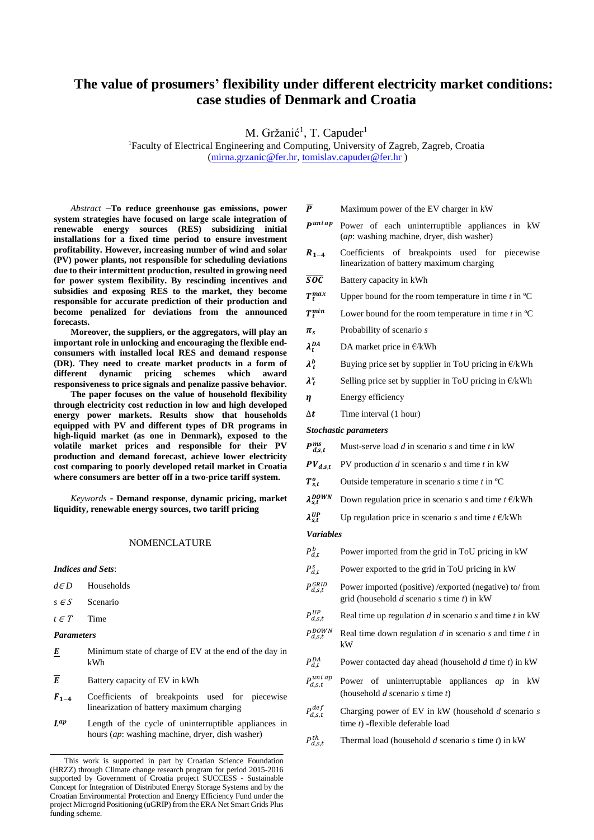# **The value of prosumers' flexibility under different electricity market conditions: case studies of Denmark and Croatia**

M. Gržanić<sup>1</sup>, T. Capuder<sup>1</sup>

<sup>1</sup>Faculty of Electrical Engineering and Computing, University of Zagreb, Zagreb, Croatia [\(mirna.grzanic@fer.hr,](mailto:mirna.grzanic@fer.hr) [tomislav.capuder@fer.hr](mailto:tomislav.capuder@fer.hr) )

*Abstract* –**To reduce greenhouse gas emissions, power system strategies have focused on large scale integration of renewable energy sources (RES) subsidizing initial installations for a fixed time period to ensure investment profitability. However, increasing number of wind and solar (PV) power plants, not responsible for scheduling deviations due to their intermittent production, resulted in growing need for power system flexibility. By rescinding incentives and subsidies and exposing RES to the market, they become responsible for accurate prediction of their production and become penalized for deviations from the announced forecasts.** 

**Moreover, the suppliers, or the aggregators, will play an important role in unlocking and encouraging the flexible endconsumers with installed local RES and demand response (DR). They need to create market products in a form of different dynamic pricing schemes which award responsiveness to price signals and penalize passive behavior.**

**The paper focuses on the value of household flexibility through electricity cost reduction in low and high developed energy power markets. Results show that households equipped with PV and different types of DR programs in high-liquid market (as one in Denmark), exposed to the volatile market prices and responsible for their PV production and demand forecast, achieve lower electricity cost comparing to poorly developed retail market in Croatia where consumers are better off in a two-price tariff system.**

*Keywords* - **Demand response**, **dynamic pricing, market liquidity, renewable energy sources, two tariff pricing**

## NOMENCLATURE

*Indices and Sets*:

- *d*∈ *D* Households
- *s* ∈ Scenario
- $t \in T$  Time

*Parameters*

- $\boldsymbol{E}$  Minimum state of charge of EV at the end of the day in kWh
- $\overline{E}$  Battery capacity of EV in kWh
- $F_{1-4}$  Coefficients of breakpoints used for piecewise linearization of battery maximum charging
- $L^{ap}$  Length of the cycle of uninterruptible appliances in hours (*ap*: washing machine, dryer, dish washer)
- $\overline{P}$  Maximum power of the EV charger in kW
- ${\bf p}$ uni ap Power of each uninterruptible appliances in kW (*ap*: washing machine, dryer, dish washer)
- $R_{1-4}$  Coefficients of breakpoints used for piecewise linearization of battery maximum charging
- $\overline{SOC}$  Battery capacity in kWh
- $T^{max}_t$ Upper bound for the room temperature in time *t* in ºC
- $T^{min}_t$ Lower bound for the room temperature in time *t* in ºC
- $\pi_s$  Probability of scenario *s*
- $\lambda^{DA}$ DA market price in €/kWh
- $\lambda_t^b$ Buying price set by supplier in ToU pricing in  $E/KWh$
- $\lambda^s_t$ Selling price set by supplier in ToU pricing in  $E/KWh$
- $\eta$  Energy efficiency
- $\Delta t$  Time interval (1 hour)

*Stochastic parameters*

- $P_{d,st}^{ms}$ Must-serve load *d* in scenario *s* and time *t* in kW
- $PV_{d.st}$  PV production *d* in scenario *s* and time *t* in kW
- $T_{s,t}^o$ Outside temperature in scenario *s* time *t* in ºC
- $\lambda_c^{DQWN}$ Down regulation price in scenario *s* and time *t* €/kWh
- $\lambda_{s.t}^{UP}$ Up regulation price in scenario  $s$  and time  $t \in \mathcal{C}$ KWh

#### *Variables*

- $P_{d,t}^b$ Power imported from the grid in ToU pricing in kW
- $P_{d,t}^s$ Power exported to the grid in ToU pricing in kW
- $P_{d.s.t}^{GRID}$  Power imported (positive) /exported (negative) to/ from grid (household *d* scenario *s* time *t*) in kW
- $P_{d,s,t}^{UP}$ Real time up regulation *d* in scenario *s* and time *t* in kW
- $P_{d,s,t}^{DOWN}$  Real time down regulation *d* in scenario *s* and time *t* in kW
- $P_{d.t}^{DA}$ Power contacted day ahead (household *d* time *t*) in kW
- $P_{d,s,t}^{uni\; ap}$  Power of uninterruptable appliances *ap* in kW (household *d* scenario *s* time *t*)
- $P_{d,s,t}^{def}$  Charging power of EV in kW (household *d* scenario *s* time *t*) -flexible deferable load
- $P_{dst}^{th}$ ℎ Thermal load (household *d* scenario *s* time *t*) in kW

This work is supported in part by Croatian Science Foundation (HRZZ) through Climate change research program for period 2015-2016 supported by Government of Croatia project SUCCESS - Sustainable Concept for Integration of Distributed Energy Storage Systems and by the Croatian Environmental Protection and Energy Efficiency Fund under the project Microgrid Positioning (uGRIP) from the ERA Net Smart Grids Plus funding scheme.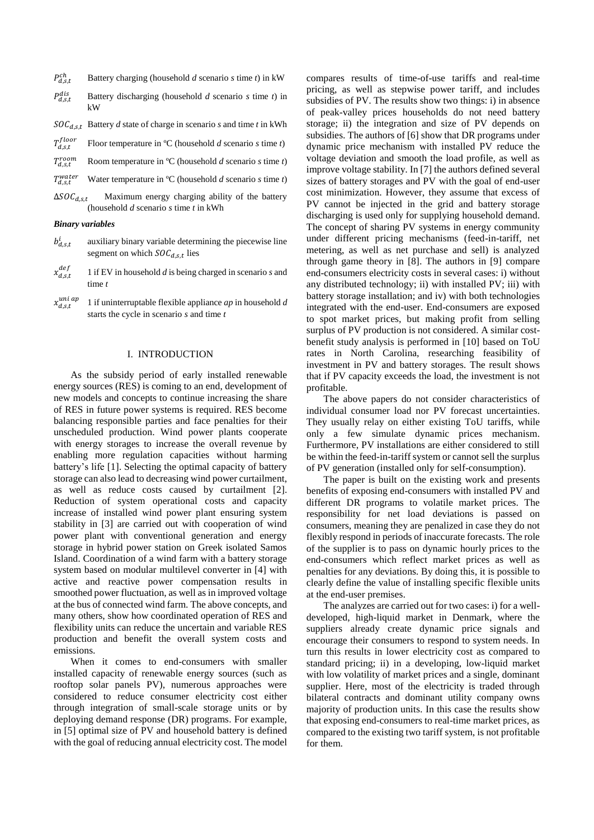- $P_{dst}^{ch}$ ℎ Battery charging (household *d* scenario *s* time *t*) in kW
- $P_{d.s.t}^{dis}$  Battery discharging (household *d* scenario *s* time *t*) in kW
- $SOC_{d.s.t.}$  Battery *d* state of charge in scenario *s* and time *t* in kWh
- $T_{d,s,t}^{floor}$ Floor temperature in ºC (household *d* scenario *s* time *t*)
- $T_{d,s,t}^{room}$ Room temperature in ºC (household *d* scenario *s* time *t*)
- $T_{d,s,t}^{water}$ Water temperature in ºC (household *d* scenario *s* time *t*)
- $\Delta SOC_{d.s.t}$  Maximum energy charging ability of the battery (household *d* scenario *s* time *t* in kWh

### *Binary variables*

- $b^i_{d,s,t}$ auxiliary binary variable determining the piecewise line segment on which  $SOC_{d,s,t}$  lies
- $x_{d,s,t}^{def}$  1 if EV in household *d* is being charged in scenario *s* and time *t*
- $x_{d,s,t}^{uni\; ap}$  1 if uninterruptable flexible appliance *ap* in household *d* starts the cycle in scenario *s* and time *t*

# I. INTRODUCTION

As the subsidy period of early installed renewable energy sources (RES) is coming to an end, development of new models and concepts to continue increasing the share of RES in future power systems is required. RES become balancing responsible parties and face penalties for their unscheduled production. Wind power plants cooperate with energy storages to increase the overall revenue by enabling more regulation capacities without harming battery's life [1]. Selecting the optimal capacity of battery storage can also lead to decreasing wind power curtailment, as well as reduce costs caused by curtailment [2]. Reduction of system operational costs and capacity increase of installed wind power plant ensuring system stability in [3] are carried out with cooperation of wind power plant with conventional generation and energy storage in hybrid power station on Greek isolated Samos Island. Coordination of a wind farm with a battery storage system based on modular multilevel converter in [4] with active and reactive power compensation results in smoothed power fluctuation, as well as in improved voltage at the bus of connected wind farm. The above concepts, and many others, show how coordinated operation of RES and flexibility units can reduce the uncertain and variable RES production and benefit the overall system costs and emissions.

When it comes to end-consumers with smaller installed capacity of renewable energy sources (such as rooftop solar panels PV), numerous approaches were considered to reduce consumer electricity cost either through integration of small-scale storage units or by deploying demand response (DR) programs. For example, in [5] optimal size of PV and household battery is defined with the goal of reducing annual electricity cost. The model

compares results of time-of-use tariffs and real-time pricing, as well as stepwise power tariff, and includes subsidies of PV. The results show two things: i) in absence of peak-valley prices households do not need battery storage; ii) the integration and size of PV depends on subsidies. The authors of [6] show that DR programs under dynamic price mechanism with installed PV reduce the voltage deviation and smooth the load profile, as well as improve voltage stability. In [7] the authors defined several sizes of battery storages and PV with the goal of end-user cost minimization. However, they assume that excess of PV cannot be injected in the grid and battery storage discharging is used only for supplying household demand. The concept of sharing PV systems in energy community under different pricing mechanisms (feed-in-tariff, net metering, as well as net purchase and sell) is analyzed through game theory in [8]. The authors in [9] compare end-consumers electricity costs in several cases: i) without any distributed technology; ii) with installed PV; iii) with battery storage installation; and iv) with both technologies integrated with the end-user. End-consumers are exposed to spot market prices, but making profit from selling surplus of PV production is not considered. A similar costbenefit study analysis is performed in [10] based on ToU rates in North Carolina, researching feasibility of investment in PV and battery storages. The result shows that if PV capacity exceeds the load, the investment is not profitable.

The above papers do not consider characteristics of individual consumer load nor PV forecast uncertainties. They usually relay on either existing ToU tariffs, while only a few simulate dynamic prices mechanism. Furthermore, PV installations are either considered to still be within the feed-in-tariff system or cannot sell the surplus of PV generation (installed only for self-consumption).

The paper is built on the existing work and presents benefits of exposing end-consumers with installed PV and different DR programs to volatile market prices. The responsibility for net load deviations is passed on consumers, meaning they are penalized in case they do not flexibly respond in periods of inaccurate forecasts. The role of the supplier is to pass on dynamic hourly prices to the end-consumers which reflect market prices as well as penalties for any deviations. By doing this, it is possible to clearly define the value of installing specific flexible units at the end-user premises.

The analyzes are carried out for two cases: i) for a welldeveloped, high-liquid market in Denmark, where the suppliers already create dynamic price signals and encourage their consumers to respond to system needs. In turn this results in lower electricity cost as compared to standard pricing; ii) in a developing, low-liquid market with low volatility of market prices and a single, dominant supplier. Here, most of the electricity is traded through bilateral contracts and dominant utility company owns majority of production units. In this case the results show that exposing end-consumers to real-time market prices, as compared to the existing two tariff system, is not profitable for them.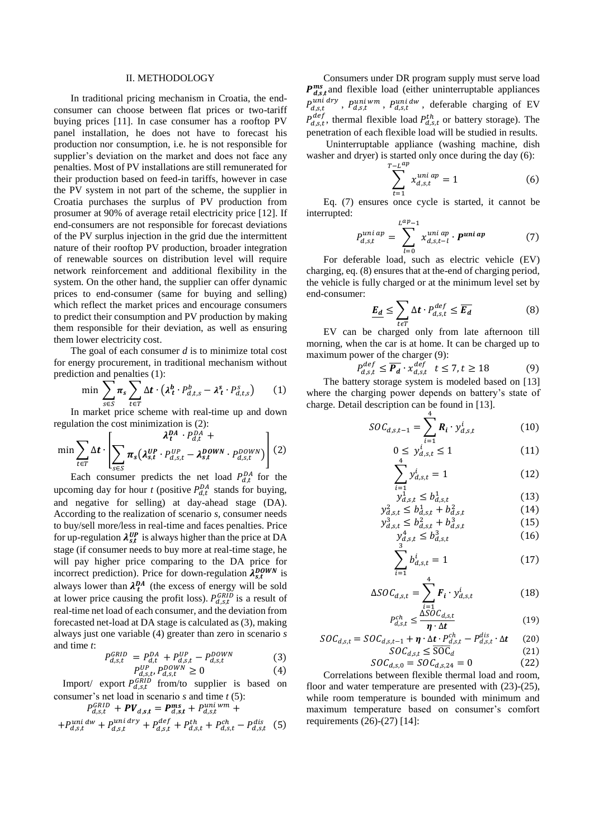#### II. METHODOLOGY

In traditional pricing mechanism in Croatia, the endconsumer can choose between flat prices or two-tariff buying prices [11]. In case consumer has a rooftop PV panel installation, he does not have to forecast his production nor consumption, i.e. he is not responsible for supplier's deviation on the market and does not face any penalties. Most of PV installations are still remunerated for their production based on feed-in tariffs, however in case the PV system in not part of the scheme, the supplier in Croatia purchases the surplus of PV production from prosumer at 90% of average retail electricity price [12]. If end-consumers are not responsible for forecast deviations of the PV surplus injection in the grid due the intermittent nature of their rooftop PV production, broader integration of renewable sources on distribution level will require network reinforcement and additional flexibility in the system. On the other hand, the supplier can offer dynamic prices to end-consumer (same for buying and selling) which reflect the market prices and encourage consumers to predict their consumption and PV production by making them responsible for their deviation, as well as ensuring them lower electricity cost.

The goal of each consumer *d* is to minimize total cost for energy procurement, in traditional mechanism without prediction and penalties (1):

$$
\min \sum_{s \in S} \pi_s \sum_{t \in T} \Delta t \cdot \left(\lambda_t^b \cdot P_{d,t,s}^b - \lambda_t^s \cdot P_{d,t,s}^s\right) \tag{1}
$$

 $\frac{s \in S}{s}$   $\epsilon \in T$ <br>In market price scheme with real-time up and down regulation the cost minimization is (2):

$$
\min \sum_{t \in T} \Delta t \cdot \left[ \sum_{s \in S} \pi_s \left( \lambda_{s,t}^{UP} \cdot P_{d,s,t}^{UP} - \lambda_{s,t}^{DOWN} \cdot P_{d,s,t}^{DOWN} \right) \right] (2)
$$

Each consumer predicts the net load  $P_{d,t}^{DA}$  for the upcoming day for hour *t* (positive  $P_{d,t}^{DA}$  stands for buying, and negative for selling) at day-ahead stage (DA). According to the realization of scenario *s*, consumer needs to buy/sell more/less in real-time and faces penalties. Price for up-regulation  $\lambda_{s,t}^{UP}$  is always higher than the price at DA stage (if consumer needs to buy more at real-time stage, he will pay higher price comparing to the DA price for incorrect prediction). Price for down-regulation  $\lambda_{s,t}^{Down}$  is always lower than  $\lambda_t^{DA}$  (the excess of energy will be sold at lower price causing the profit loss).  $P_{d,s,t}^{GRID}$  is a result of real-time net load of each consumer, and the deviation from forecasted net-load at DA stage is calculated as (3), making always just one variable (4) greater than zero in scenario *s* and time *t*:

$$
P_{d,s,t}^{GRID} = P_{d,t}^{DA} + P_{d,s,t}^{UP} - P_{d,s,t}^{DOWN}
$$
(3)  
\n
$$
P_{p}^{UP} - P_{p}^{DOWN} > 0
$$
(4)

$$
P_{d,s,t}^{UP}, P_{d,s,t}^{DOWN} \ge 0
$$
\n
$$
P_{d,s,t}^{GRID} f_{d,s,t}^{GRID} \ge 0
$$
\n(4)

Import/ export  $P_{d,s,t}^{GRID}$  from/to supplier is based on consumer's net load in scenario *s* and time *t* (5):

$$
P_{d,s,t}^{GRID} + PV_{d,s,t} = P_{d,s,t}^{ms} + P_{d,s,t}^{uni\,wm} +
$$

$$
+P_{d,s,t}^{uni\,dw} + P_{d,s,t}^{uni\,dry} + P_{d,s,t}^{def} + P_{d,s,t}^{th} + P_{d,s,t}^{ch} - P_{d,s,t}^{dis} \tag{5}
$$

Consumers under DR program supply must serve load  $P_{d,s,t}^{ms}$  and flexible load (either uninterruptable appliances  $P_{d,s,t}^{uni\, dry}$ ,  $P_{d,s,t}^{uni\, dw}$ ,  $P_{d,s,t}^{uni\, dw}$ , deferable charging of EV  $P_{d,s,t}^{def}$ , thermal flexible load  $P_{d,s,t}^{th}$  or battery storage). The penetration of each flexible load will be studied in results.

Uninterruptable appliance (washing machine, dish washer and dryer) is started only once during the day (6):

$$
\sum_{t=1}^{T-L^{ap}} x_{d,s,t}^{uni\ ap} = 1 \tag{6}
$$

 $Eq.$  (7) ensures once cycle is started, it cannot be interrupted:

$$
P_{d,s,t}^{uni\ ap} = \sum_{l=0}^{L^{ap}-1} x_{d,s,t-l}^{uni\ ap} \cdot \mathbf{P}^{uni\ ap} \tag{7}
$$

For deferable load, such as electric vehicle (EV) charging, eq. (8) ensures that at the-end of charging period, the vehicle is fully charged or at the minimum level set by end-consumer:

$$
\underline{E_d} \le \sum_{t \in T} \Delta t \cdot P_{d,s,t}^{def} \le \overline{E_d} \tag{8}
$$

EV can be charged only from late afternoon till morning, when the car is at home. It can be charged up to maximum power of the charger (9):

$$
P_{d,s,t}^{def} \le \overline{P_d} \cdot x_{d,s,t}^{def} \quad t \le 7, t \ge 18 \tag{9}
$$

The battery storage system is modeled based on [13] where the charging power depends on battery's state of charge. Detail description can be found in [13].

$$
SOC_{d,s,t-1} = \sum_{i=1}^{4} R_i \cdot y_{d,s,t}^{i}
$$
 (10)

$$
0 \le y_{d,s,t}^i \le 1 \tag{11}
$$

$$
\sum_{i=1} y_{d,s,t}^i = 1
$$
 (12)

$$
y_{d,s,t}^1 \le b_{d,s,t}^1
$$
 (13)  

$$
y_{d,s,t}^2 \le b_{d,s,t}^1 + b_{d,s,t}^2
$$
 (14)

$$
y_{d,s,t}^3 \le b_{d,s,t}^2 + b_{d,s,t}^3
$$
 (15)  

$$
y_{d,s,t}^4 \le b_{d,s,t}^3
$$
 (16)

$$
\sum_{i=1}^{3} b_{d,s,t}^{i} = 1
$$
 (17)

$$
\Delta SOC_{d,s,t} = \sum_{i=1}^{4} \boldsymbol{F}_i \cdot \boldsymbol{y}_{d,s,t}^i \tag{18}
$$

$$
P_{d,s,t}^{ch} \le \frac{\Delta SOC_{d,s,t}}{\eta \cdot \Delta t} \tag{19}
$$

$$
SOC_{d,s,t} = SOC_{d,s,t-1} + \eta \cdot \Delta t \cdot P_{d,s,t}^{ch} - P_{d,s,t}^{dis} \cdot \Delta t \qquad (20)
$$
  

$$
SOC_{d,s,t} \leq \overline{\text{SOC}}_d \qquad (21)
$$

$$
SOC_{d,s,0} = SOC_{d,s,24} = 0
$$
 (22)

Correlations between flexible thermal load and room, floor and water temperature are presented with (23)-(25), while room temperature is bounded with minimum and maximum temperature based on consumer's comfort requirements (26)-(27) [14]: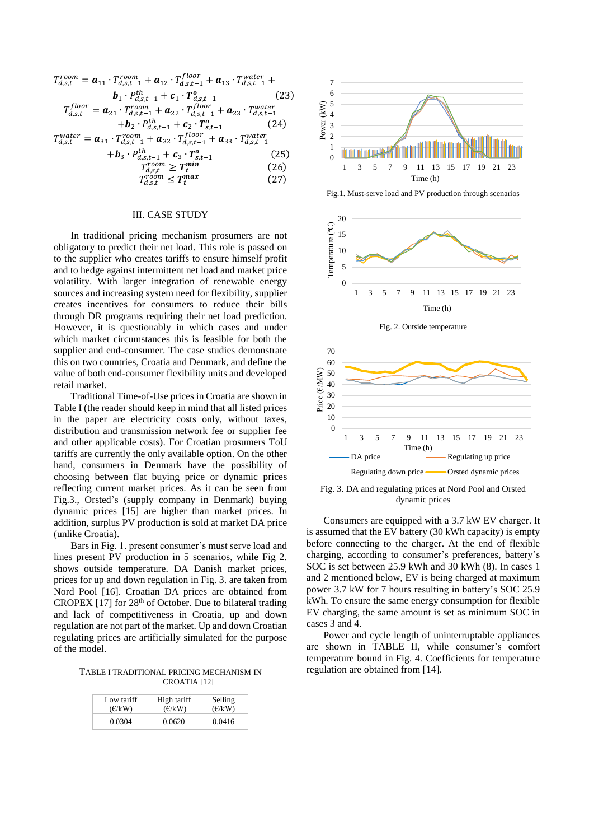$$
T_{d,s,t}^{room} = \mathbf{a}_{11} \cdot T_{d,s,t-1}^{room} + \mathbf{a}_{12} \cdot T_{d,s,t-1}^{floor} + \mathbf{a}_{13} \cdot T_{d,s,t-1}^{water} + \n\mathbf{b}_1 \cdot P_{d,s,t-1}^{th} + \mathbf{c}_1 \cdot \mathbf{T}_{d,s,t-1}^{0} \tag{23}\nT_{d,s,t}^{floor} = \mathbf{a}_{21} \cdot T_{d,s,t-1}^{room} + \mathbf{a}_{22} \cdot T_{d,s,t-1}^{floor} + \mathbf{a}_{23} \cdot T_{d,s,t-1}^{water} + \n+ \mathbf{b}_2 \cdot P_{d,s,t-1}^{th} + \mathbf{c}_2 \cdot \mathbf{T}_{s,t-1}^{0} \tag{24}
$$

$$
T_{d,s,t}^{water} = \mathbf{a}_{31} \cdot T_{d,s,t-1}^{room} + \mathbf{a}_{32} \cdot T_{d,s,t-1}^{floor} + \mathbf{a}_{33} \cdot T_{d,s,t-1}^{water} + \mathbf{b}_{3} \cdot P_{d,s,t-1}^{b,h} + \mathbf{c}_{3} \cdot T_{s,t-1}^{o,h}
$$
 (25)

$$
+b_3 \cdot P_{d,s,t-1}^{th} + c_3 \cdot T_{s,t-1}^{o} \tag{25}
$$
  
\n
$$
T_{d,s,t}^{room} \geq T_t^{min} \tag{26}
$$
  
\n
$$
T_{r,com}^{room} \geq T_t^{max} \tag{27}
$$

$$
T_{d,s,t}^{room} \le T_t^{max} \tag{27}
$$

## III. CASE STUDY

In traditional pricing mechanism prosumers are not obligatory to predict their net load. This role is passed on to the supplier who creates tariffs to ensure himself profit and to hedge against intermittent net load and market price volatility. With larger integration of renewable energy sources and increasing system need for flexibility, supplier creates incentives for consumers to reduce their bills through DR programs requiring their net load prediction. However, it is questionably in which cases and under which market circumstances this is feasible for both the supplier and end-consumer. The case studies demonstrate this on two countries, Croatia and Denmark, and define the value of both end-consumer flexibility units and developed retail market.

Traditional Time-of-Use prices in Croatia are shown in Table I (the reader should keep in mind that all listed prices in the paper are electricity costs only, without taxes, distribution and transmission network fee or supplier fee and other applicable costs). For Croatian prosumers ToU tariffs are currently the only available option. On the other hand, consumers in Denmark have the possibility of choosing between flat buying price or dynamic prices reflecting current market prices. As it can be seen from Fig.3., Orsted's (supply company in Denmark) buying dynamic prices [15] are higher than market prices. In addition, surplus PV production is sold at market DA price (unlike Croatia).

Bars in Fig. 1. present consumer's must serve load and lines present PV production in 5 scenarios, while Fig 2. shows outside temperature. DA Danish market prices, prices for up and down regulation in Fig. 3. are taken from Nord Pool [16]. Croatian DA prices are obtained from CROPEX [17] for 28<sup>th</sup> of October. Due to bilateral trading and lack of competitiveness in Croatia, up and down regulation are not part of the market. Up and down Croatian regulating prices are artificially simulated for the purpose of the model.

TABLE I TRADITIONAL PRICING MECHANISM IN CROATIA [12]

| Low tariff      | High tariff     | Selling         |
|-----------------|-----------------|-----------------|
| $(\epsilon/kW)$ | $(\epsilon/kW)$ | $(\epsilon/kW)$ |
| 0.0304          | 0.0620          |                 |



Fig.1. Must-serve load and PV production through scenarios







dynamic prices

Consumers are equipped with a 3.7 kW EV charger. It is assumed that the EV battery (30 kWh capacity) is empty before connecting to the charger. At the end of flexible charging, according to consumer's preferences, battery's SOC is set between 25.9 kWh and 30 kWh (8). In cases 1 and 2 mentioned below, EV is being charged at maximum power 3.7 kW for 7 hours resulting in battery's SOC 25.9 kWh. To ensure the same energy consumption for flexible EV charging, the same amount is set as minimum SOC in cases 3 and 4.

Power and cycle length of uninterruptable appliances are shown in TABLE II, while consumer's comfort temperature bound in Fig. 4. Coefficients for temperature regulation are obtained from [14].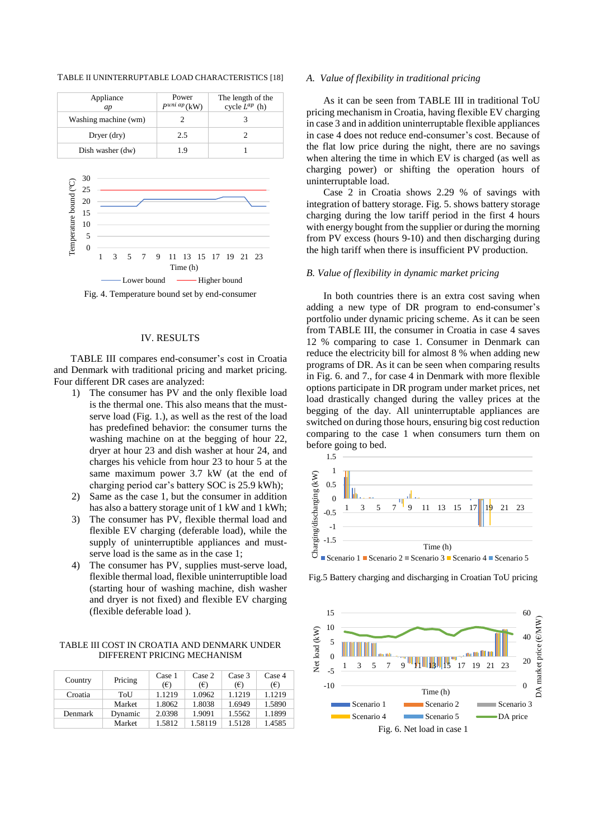

#### TABLE II UNINTERRUPTABLE LOAD CHARACTERISTICS [18]

Fig. 4. Temperature bound set by end-consumer

### IV. RESULTS

TABLE III compares end-consumer's cost in Croatia and Denmark with traditional pricing and market pricing. Four different DR cases are analyzed:

- 1) The consumer has PV and the only flexible load is the thermal one. This also means that the mustserve load (Fig. 1.), as well as the rest of the load has predefined behavior: the consumer turns the washing machine on at the begging of hour 22, dryer at hour 23 and dish washer at hour 24, and charges his vehicle from hour 23 to hour 5 at the same maximum power 3.7 kW (at the end of charging period car's battery SOC is 25.9 kWh);
- 2) Same as the case 1, but the consumer in addition has also a battery storage unit of 1 kW and 1 kWh;
- 3) The consumer has PV, flexible thermal load and flexible EV charging (deferable load), while the supply of uninterruptible appliances and mustserve load is the same as in the case 1;
- 4) The consumer has PV, supplies must-serve load, flexible thermal load, flexible uninterruptible load (starting hour of washing machine, dish washer and dryer is not fixed) and flexible EV charging (flexible deferable load ).

# TABLE III COST IN CROATIA AND DENMARK UNDER DIFFERENT PRICING MECHANISM

| Country | Pricing | Case 1<br>$(\epsilon)$ | Case 2<br>(€) | Case 3<br>(€) | Case 4<br>$(\epsilon)$ |
|---------|---------|------------------------|---------------|---------------|------------------------|
| Croatia | ToU     | 1.1219                 | 1.0962        | 1.1219        | 1.1219                 |
|         | Market  | 1.8062                 | 1.8038        | 1.6949        | 1.5890                 |
| Denmark | Dynamic | 2.0398                 | 1.9091        | 1.5562        | 1.1899                 |
|         | Market  | 1.5812                 | 1.58119       | 1.5128        | 1.4585                 |

### *A. Value of flexibility in traditional pricing*

As it can be seen from TABLE III in traditional ToU pricing mechanism in Croatia, having flexible EV charging in case 3 and in addition uninterruptable flexible appliances in case 4 does not reduce end-consumer's cost. Because of the flat low price during the night, there are no savings when altering the time in which EV is charged (as well as charging power) or shifting the operation hours of uninterruptable load.

Case 2 in Croatia shows 2.29 % of savings with integration of battery storage. Fig. 5. shows battery storage charging during the low tariff period in the first 4 hours with energy bought from the supplier or during the morning from PV excess (hours 9-10) and then discharging during the high tariff when there is insufficient PV production.

## *B. Value of flexibility in dynamic market pricing*

In both countries there is an extra cost saving when adding a new type of DR program to end-consumer's portfolio under dynamic pricing scheme. As it can be seen from TABLE III, the consumer in Croatia in case 4 saves 12 % comparing to case 1. Consumer in Denmark can reduce the electricity bill for almost 8 % when adding new programs of DR. As it can be seen when comparing results in Fig. 6. and 7., for case 4 in Denmark with more flexible options participate in DR program under market prices, net load drastically changed during the valley prices at the begging of the day. All uninterruptable appliances are switched on during those hours, ensuring big cost reduction comparing to the case 1 when consumers turn them on before going to bed.



Fig.5 Battery charging and discharging in Croatian ToU pricing